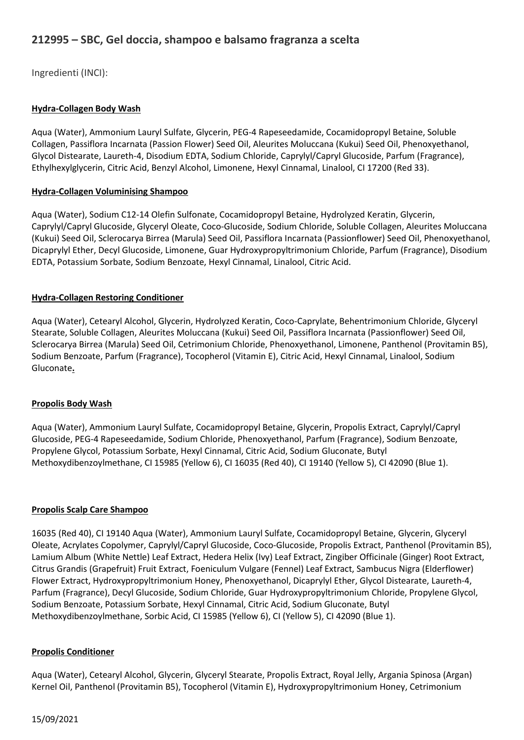# 212995 – SBC, Gel doccia, shampoo e balsamo fragranza a scelta

Ingredienti (INCI):

## Hydra-Collagen Body Wash

Aqua (Water), Ammonium Lauryl Sulfate, Glycerin, PEG-4 Rapeseedamide, Cocamidopropyl Betaine, Soluble Collagen, Passiflora Incarnata (Passion Flower) Seed Oil, Aleurites Moluccana (Kukui) Seed Oil, Phenoxyethanol, Glycol Distearate, Laureth-4, Disodium EDTA, Sodium Chloride, Caprylyl/Capryl Glucoside, Parfum (Fragrance), Ethylhexylglycerin, Citric Acid, Benzyl Alcohol, Limonene, Hexyl Cinnamal, Linalool, CI 17200 (Red 33).

## Hydra-Collagen Voluminising Shampoo

Aqua (Water), Sodium C12-14 Olefin Sulfonate, Cocamidopropyl Betaine, Hydrolyzed Keratin, Glycerin, Caprylyl/Capryl Glucoside, Glyceryl Oleate, Coco-Glucoside, Sodium Chloride, Soluble Collagen, Aleurites Moluccana (Kukui) Seed Oil, Sclerocarya Birrea (Marula) Seed Oil, Passiflora Incarnata (Passionflower) Seed Oil, Phenoxyethanol, Dicaprylyl Ether, Decyl Glucoside, Limonene, Guar Hydroxypropyltrimonium Chloride, Parfum (Fragrance), Disodium EDTA, Potassium Sorbate, Sodium Benzoate, Hexyl Cinnamal, Linalool, Citric Acid.

## Hydra-Collagen Restoring Conditioner

Aqua (Water), Cetearyl Alcohol, Glycerin, Hydrolyzed Keratin, Coco-Caprylate, Behentrimonium Chloride, Glyceryl Stearate, Soluble Collagen, Aleurites Moluccana (Kukui) Seed Oil, Passiflora Incarnata (Passionflower) Seed Oil, Sclerocarya Birrea (Marula) Seed Oil, Cetrimonium Chloride, Phenoxyethanol, Limonene, Panthenol (Provitamin B5), Sodium Benzoate, Parfum (Fragrance), Tocopherol (Vitamin E), Citric Acid, Hexyl Cinnamal, Linalool, Sodium Gluconate.

## Propolis Body Wash

Aqua (Water), Ammonium Lauryl Sulfate, Cocamidopropyl Betaine, Glycerin, Propolis Extract, Caprylyl/Capryl Glucoside, PEG-4 Rapeseedamide, Sodium Chloride, Phenoxyethanol, Parfum (Fragrance), Sodium Benzoate, Propylene Glycol, Potassium Sorbate, Hexyl Cinnamal, Citric Acid, Sodium Gluconate, Butyl Methoxydibenzoylmethane, CI 15985 (Yellow 6), CI 16035 (Red 40), CI 19140 (Yellow 5), CI 42090 (Blue 1).

#### Propolis Scalp Care Shampoo

16035 (Red 40), CI 19140 Aqua (Water), Ammonium Lauryl Sulfate, Cocamidopropyl Betaine, Glycerin, Glyceryl Oleate, Acrylates Copolymer, Caprylyl/Capryl Glucoside, Coco-Glucoside, Propolis Extract, Panthenol (Provitamin B5), Lamium Album (White Nettle) Leaf Extract, Hedera Helix (Ivy) Leaf Extract, Zingiber Officinale (Ginger) Root Extract, Citrus Grandis (Grapefruit) Fruit Extract, Foeniculum Vulgare (Fennel) Leaf Extract, Sambucus Nigra (Elderflower) Flower Extract, Hydroxypropyltrimonium Honey, Phenoxyethanol, Dicaprylyl Ether, Glycol Distearate, Laureth-4, Parfum (Fragrance), Decyl Glucoside, Sodium Chloride, Guar Hydroxypropyltrimonium Chloride, Propylene Glycol, Sodium Benzoate, Potassium Sorbate, Hexyl Cinnamal, Citric Acid, Sodium Gluconate, Butyl Methoxydibenzoylmethane, Sorbic Acid, CI 15985 (Yellow 6), CI (Yellow 5), CI 42090 (Blue 1).

#### Propolis Conditioner

Aqua (Water), Cetearyl Alcohol, Glycerin, Glyceryl Stearate, Propolis Extract, Royal Jelly, Argania Spinosa (Argan) Kernel Oil, Panthenol (Provitamin B5), Tocopherol (Vitamin E), Hydroxypropyltrimonium Honey, Cetrimonium